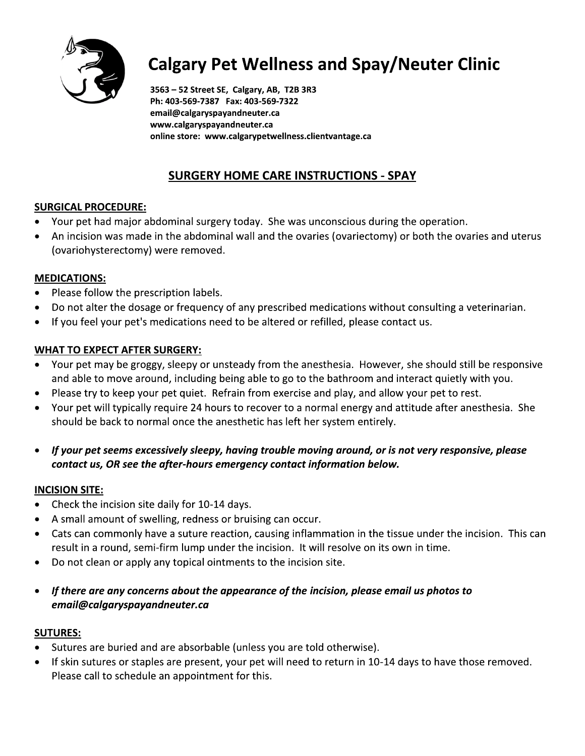

# **Calgary Pet Wellness and Spay/Neuter Clinic**

3563 - 52 Street SE, Calgary, AB, T2B 3R3 Ph: 403-569-7387 Fax: 403-569-7322 email@calgaryspayandneuter.ca www.calgaryspayandneuter.ca online store: www.calgarypetwellness.clientvantage.ca

## **SURGERY HOME CARE INSTRUCTIONS - SPAY**

## **SURGICAL PROCEDURE:**

- Your pet had major abdominal surgery today. She was unconscious during the operation.
- An incision was made in the abdominal wall and the ovaries (ovariectomy) or both the ovaries and uterus  $\bullet$ (ovariohysterectomy) were removed.

## **MEDICATIONS:**

- Please follow the prescription labels.
- Do not alter the dosage or frequency of any prescribed medications without consulting a veterinarian.  $\bullet$
- If you feel your pet's medications need to be altered or refilled, please contact us.

## **WHAT TO EXPECT AFTER SURGERY:**

- Your pet may be groggy, sleepy or unsteady from the anesthesia. However, she should still be responsive and able to move around, including being able to go to the bathroom and interact quietly with you.
- Please try to keep your pet quiet. Refrain from exercise and play, and allow your pet to rest.
- $\bullet$ Your pet will typically require 24 hours to recover to a normal energy and attitude after anesthesia. She should be back to normal once the anesthetic has left her system entirely.
- If your pet seems excessively sleepy, having trouble moving around, or is not very responsive, please contact us, OR see the after-hours emergency contact information below.

## **INCISION SITE:**

- Check the incision site daily for 10-14 days.
- A small amount of swelling, redness or bruising can occur.  $\bullet$
- Cats can commonly have a suture reaction, causing inflammation in the tissue under the incision. This can result in a round, semi-firm lump under the incision. It will resolve on its own in time.
- Do not clean or apply any topical ointments to the incision site.  $\bullet$
- If there are any concerns about the appearance of the incision, please email us photos to  $\bullet$ email@calgaryspayandneuter.ca

## **SUTURES:**

- Sutures are buried and are absorbable (unless you are told otherwise).
- If skin sutures or staples are present, your pet will need to return in 10-14 days to have those removed.  $\bullet$ Please call to schedule an appointment for this.